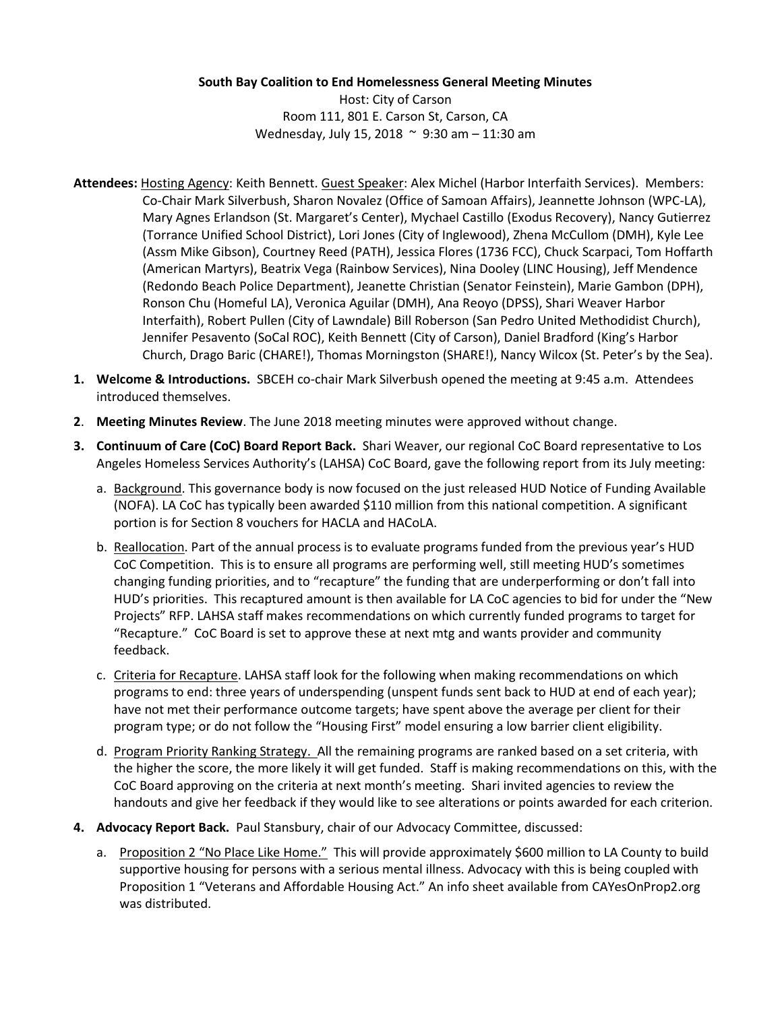## **South Bay Coalition to End Homelessness General Meeting Minutes**

Host: City of Carson Room 111, 801 E. Carson St, Carson, CA Wednesday, July 15, 2018 ~ 9:30 am – 11:30 am

- **Attendees:** Hosting Agency: Keith Bennett. Guest Speaker: Alex Michel (Harbor Interfaith Services). Members: Co-Chair Mark Silverbush, Sharon Novalez (Office of Samoan Affairs), Jeannette Johnson (WPC-LA), Mary Agnes Erlandson (St. Margaret's Center), Mychael Castillo (Exodus Recovery), Nancy Gutierrez (Torrance Unified School District), Lori Jones (City of Inglewood), Zhena McCullom (DMH), Kyle Lee (Assm Mike Gibson), Courtney Reed (PATH), Jessica Flores (1736 FCC), Chuck Scarpaci, Tom Hoffarth (American Martyrs), Beatrix Vega (Rainbow Services), Nina Dooley (LINC Housing), Jeff Mendence (Redondo Beach Police Department), Jeanette Christian (Senator Feinstein), Marie Gambon (DPH), Ronson Chu (Homeful LA), Veronica Aguilar (DMH), Ana Reoyo (DPSS), Shari Weaver Harbor Interfaith), Robert Pullen (City of Lawndale) Bill Roberson (San Pedro United Methodidist Church), Jennifer Pesavento (SoCal ROC), Keith Bennett (City of Carson), Daniel Bradford (King's Harbor Church, Drago Baric (CHARE!), Thomas Morningston (SHARE!), Nancy Wilcox (St. Peter's by the Sea).
- **1. Welcome & Introductions.** SBCEH co-chair Mark Silverbush opened the meeting at 9:45 a.m. Attendees introduced themselves.
- **2**. **Meeting Minutes Review**. The June 2018 meeting minutes were approved without change.
- **3. Continuum of Care (CoC) Board Report Back.** Shari Weaver, our regional CoC Board representative to Los Angeles Homeless Services Authority's (LAHSA) CoC Board, gave the following report from its July meeting:
	- a. Background. This governance body is now focused on the just released HUD Notice of Funding Available (NOFA). LA CoC has typically been awarded \$110 million from this national competition. A significant portion is for Section 8 vouchers for HACLA and HACoLA.
	- b. Reallocation. Part of the annual process is to evaluate programs funded from the previous year's HUD CoC Competition. This is to ensure all programs are performing well, still meeting HUD's sometimes changing funding priorities, and to "recapture" the funding that are underperforming or don't fall into HUD's priorities. This recaptured amount is then available for LA CoC agencies to bid for under the "New Projects" RFP. LAHSA staff makes recommendations on which currently funded programs to target for "Recapture." CoC Board is set to approve these at next mtg and wants provider and community feedback.
	- c. Criteria for Recapture. LAHSA staff look for the following when making recommendations on which programs to end: three years of underspending (unspent funds sent back to HUD at end of each year); have not met their performance outcome targets; have spent above the average per client for their program type; or do not follow the "Housing First" model ensuring a low barrier client eligibility.
	- d. Program Priority Ranking Strategy. All the remaining programs are ranked based on a set criteria, with the higher the score, the more likely it will get funded. Staff is making recommendations on this, with the CoC Board approving on the criteria at next month's meeting. Shari invited agencies to review the handouts and give her feedback if they would like to see alterations or points awarded for each criterion.
- **4. Advocacy Report Back.** Paul Stansbury, chair of our Advocacy Committee, discussed:
	- a. Proposition 2 "No Place Like Home." This will provide approximately \$600 million to LA County to build supportive housing for persons with a serious mental illness. Advocacy with this is being coupled with Proposition 1 "Veterans and Affordable Housing Act." An info sheet available from CAYesOnProp2.org was distributed.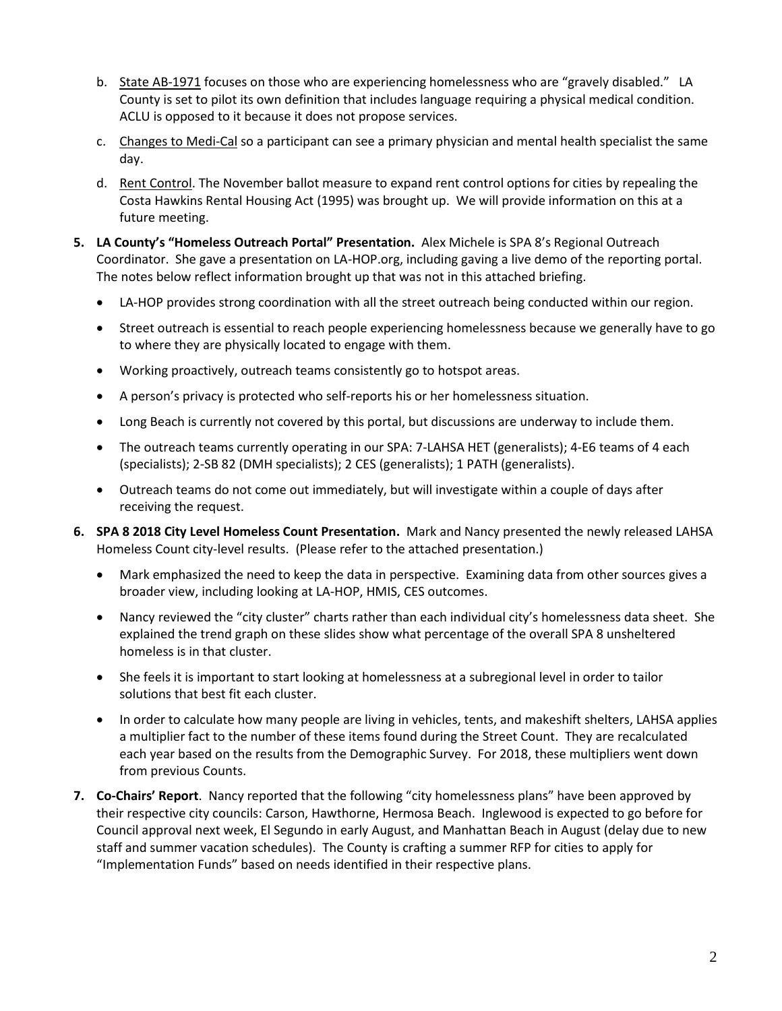- b. State AB-1971 focuses on those who are experiencing homelessness who are "gravely disabled." LA County is set to pilot its own definition that includes language requiring a physical medical condition. ACLU is opposed to it because it does not propose services.
- c. Changes to Medi-Cal so a participant can see a primary physician and mental health specialist the same day.
- d. Rent Control. The November ballot measure to expand rent control options for cities by repealing the Costa Hawkins Rental Housing Act (1995) was brought up. We will provide information on this at a future meeting.
- **5. LA County's "Homeless Outreach Portal" Presentation.** Alex Michele is SPA 8's Regional Outreach Coordinator. She gave a presentation on LA-HOP.org, including gaving a live demo of the reporting portal. The notes below reflect information brought up that was not in this attached briefing.
	- LA-HOP provides strong coordination with all the street outreach being conducted within our region.
	- Street outreach is essential to reach people experiencing homelessness because we generally have to go to where they are physically located to engage with them.
	- Working proactively, outreach teams consistently go to hotspot areas.
	- A person's privacy is protected who self-reports his or her homelessness situation.
	- Long Beach is currently not covered by this portal, but discussions are underway to include them.
	- The outreach teams currently operating in our SPA: 7-LAHSA HET (generalists); 4-E6 teams of 4 each (specialists); 2-SB 82 (DMH specialists); 2 CES (generalists); 1 PATH (generalists).
	- Outreach teams do not come out immediately, but will investigate within a couple of days after receiving the request.
- **6. SPA 8 2018 City Level Homeless Count Presentation.** Mark and Nancy presented the newly released LAHSA Homeless Count city-level results. (Please refer to the attached presentation.)
	- Mark emphasized the need to keep the data in perspective. Examining data from other sources gives a broader view, including looking at LA-HOP, HMIS, CES outcomes.
	- Nancy reviewed the "city cluster" charts rather than each individual city's homelessness data sheet. She explained the trend graph on these slides show what percentage of the overall SPA 8 unsheltered homeless is in that cluster.
	- She feels it is important to start looking at homelessness at a subregional level in order to tailor solutions that best fit each cluster.
	- In order to calculate how many people are living in vehicles, tents, and makeshift shelters, LAHSA applies a multiplier fact to the number of these items found during the Street Count. They are recalculated each year based on the results from the Demographic Survey. For 2018, these multipliers went down from previous Counts.
- **7. Co-Chairs' Report**. Nancy reported that the following "city homelessness plans" have been approved by their respective city councils: Carson, Hawthorne, Hermosa Beach. Inglewood is expected to go before for Council approval next week, El Segundo in early August, and Manhattan Beach in August (delay due to new staff and summer vacation schedules). The County is crafting a summer RFP for cities to apply for "Implementation Funds" based on needs identified in their respective plans.